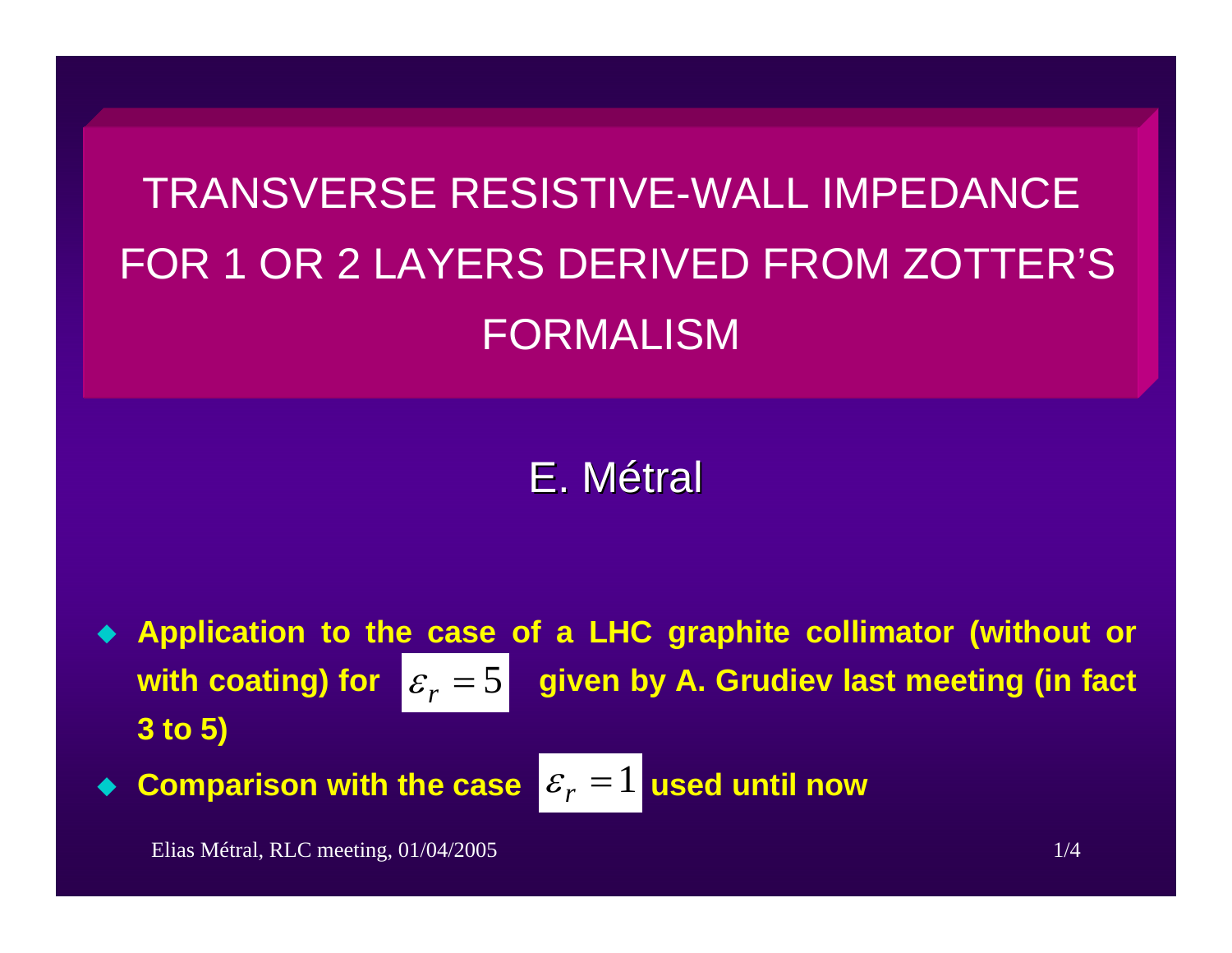## TRANSVERSE RESISTIVE-WALL IMPEDANCEFOR 1 OR 2 LAYERS DERIVED FROM ZOTTER'S FORMALISM

## E.Métral

♦ **Application to the case of a LHC graphite collimator (without or given by A. Grudiev last meeting (in fact 3 to 5)**  $\varepsilon_r = 5$ 

 $\blacklozenge$ **Comparison with the case**  $\mathcal{E}_r = 1$  **used until now**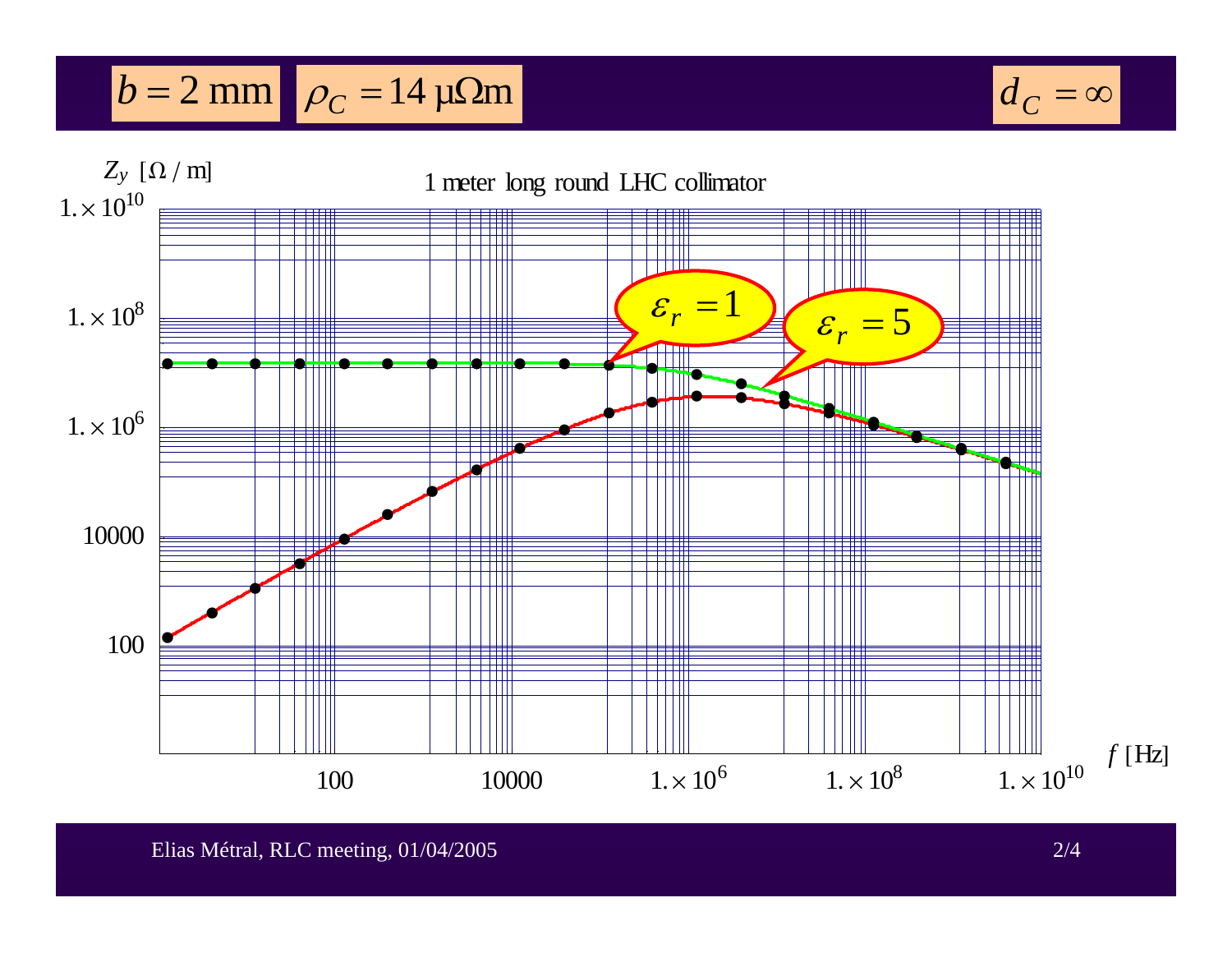## $b = 2$  mm  $\rho_C = 14 \,\mu\Omega$ m



 $d^{\vphantom{2}}_C = \infty$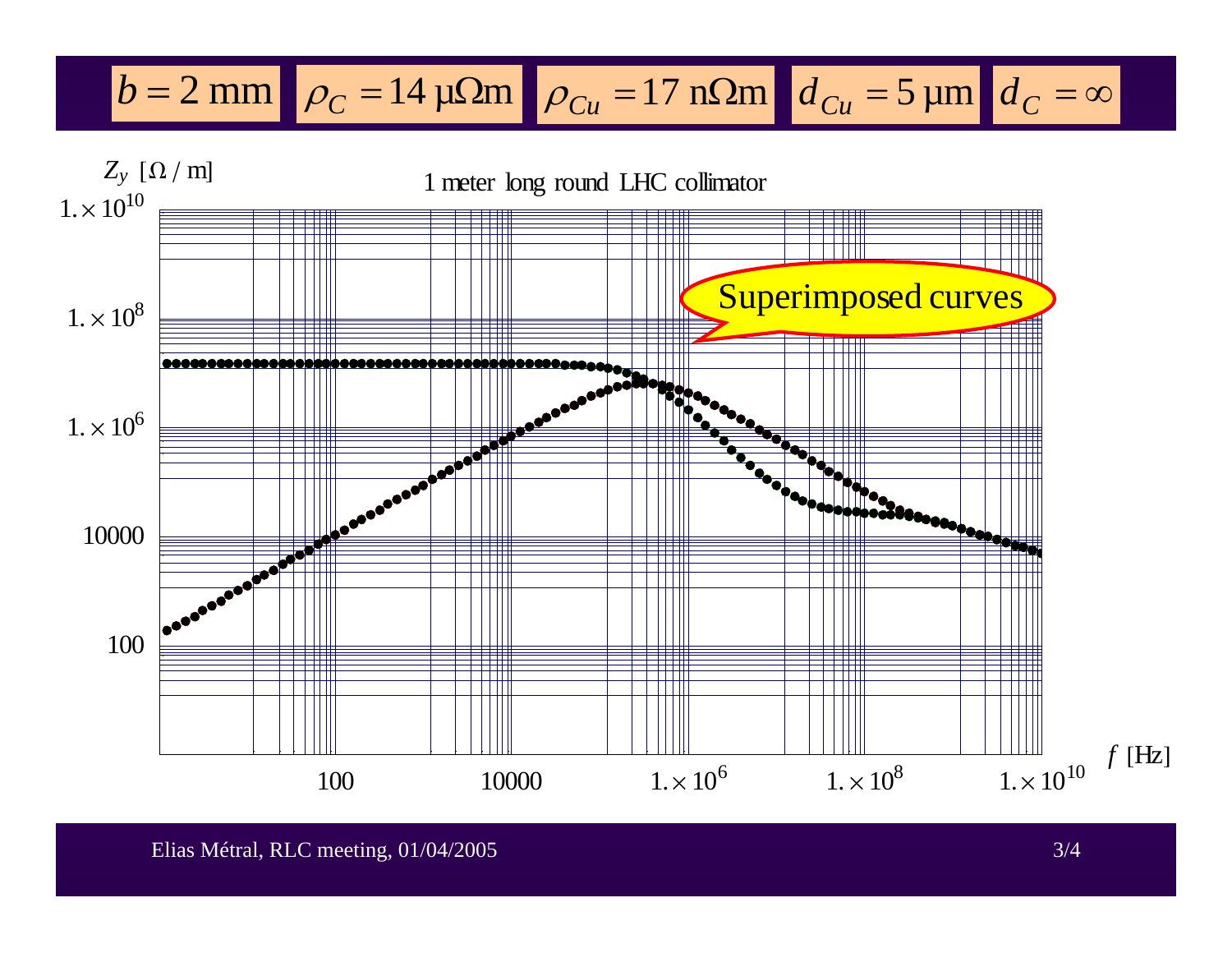